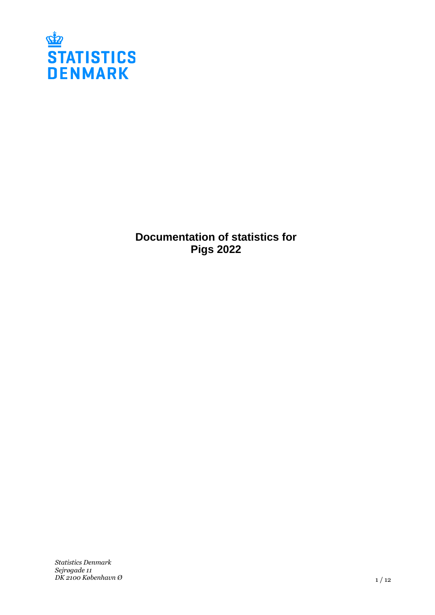

**Documentation of statistics for Pigs 2022**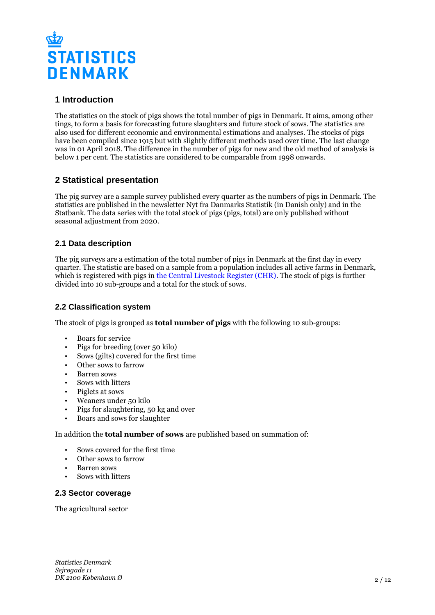

# **1 Introduction**

The statistics on the stock of pigs shows the total number of pigs in Denmark. It aims, among other tings, to form a basis for forecasting future slaughters and future stock of sows. The statistics are also used for different economic and environmental estimations and analyses. The stocks of pigs have been compiled since 1915 but with slightly different methods used over time. The last change was in 01 April 2018. The difference in the number of pigs for new and the old method of analysis is below 1 per cent. The statistics are considered to be comparable from 1998 onwards.

# **2 Statistical presentation**

The pig survey are a sample survey published every quarter as the numbers of pigs in Denmark. The statistics are published in the newsletter Nyt fra Danmarks Statistik (in Danish only) and in the Statbank. The data series with the total stock of pigs (pigs, total) are only published without seasonal adjustment from 2020.

# **2.1 Data description**

The pig surveys are a estimation of the total number of pigs in Denmark at the first day in every quarter. The statistic are based on a sample from a population includes all active farms in Denmark, which is registered with pigs in [the Central Livestock Register \(CHR\)](https://chr.fvst.dk/). The stock of pigs is further divided into 10 sub-groups and a total for the stock of sows.

### **2.2 Classification system**

The stock of pigs is grouped as **total number of pigs** with the following 10 sub-groups:

- Boars for service
- Pigs for breeding (over 50 kilo)
- Sows (gilts) covered for the first time
- Other sows to farrow
- Barren sows
- Sows with litters
- Piglets at sows
- Weaners under 50 kilo
- Pigs for slaughtering, 50 kg and over
- Boars and sows for slaughter

#### In addition the **total number of sows** are published based on summation of:

- Sows covered for the first time
- Other sows to farrow
- Barren sows
- Sows with litters

### **2.3 Sector coverage**

The agricultural sector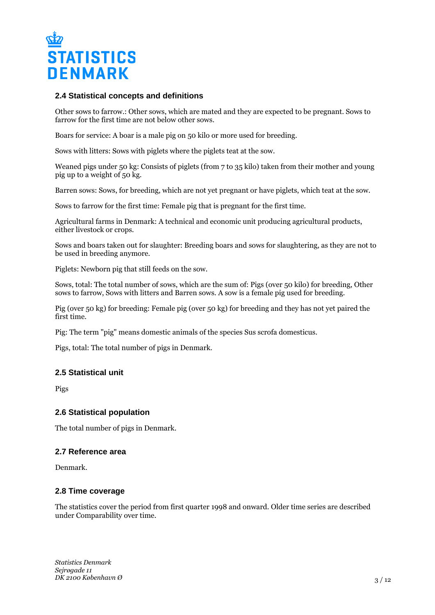

#### **2.4 Statistical concepts and definitions**

Other sows to farrow.: Other sows, which are mated and they are expected to be pregnant. Sows to farrow for the first time are not below other sows.

Boars for service: A boar is a male pig on 50 kilo or more used for breeding.

Sows with litters: Sows with piglets where the piglets teat at the sow.

Weaned pigs under 50 kg: Consists of piglets (from 7 to 35 kilo) taken from their mother and young pig up to a weight of 50 kg.

Barren sows: Sows, for breeding, which are not yet pregnant or have piglets, which teat at the sow.

Sows to farrow for the first time: Female pig that is pregnant for the first time.

Agricultural farms in Denmark: A technical and economic unit producing agricultural products, either livestock or crops.

Sows and boars taken out for slaughter: Breeding boars and sows for slaughtering, as they are not to be used in breeding anymore.

Piglets: Newborn pig that still feeds on the sow.

Sows, total: The total number of sows, which are the sum of: Pigs (over 50 kilo) for breeding, Other sows to farrow, Sows with litters and Barren sows. A sow is a female pig used for breeding.

Pig (over 50 kg) for breeding: Female pig (over 50 kg) for breeding and they has not yet paired the first time.

Pig: The term "pig" means domestic animals of the species Sus scrofa domesticus.

Pigs, total: The total number of pigs in Denmark.

#### **2.5 Statistical unit**

Pigs

#### **2.6 Statistical population**

The total number of pigs in Denmark.

#### **2.7 Reference area**

Denmark.

#### **2.8 Time coverage**

The statistics cover the period from first quarter 1998 and onward. Older time series are described under Comparability over time.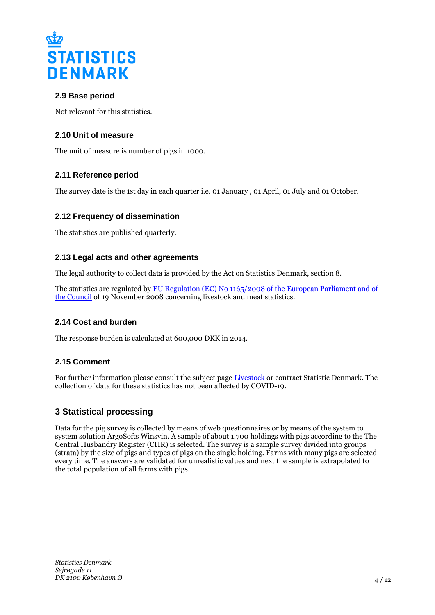

# **2.9 Base period**

Not relevant for this statistics.

# **2.10 Unit of measure**

The unit of measure is number of pigs in 1000.

# **2.11 Reference period**

The survey date is the 1st day in each quarter i.e. 01 January , 01 April, 01 July and 01 October.

### **2.12 Frequency of dissemination**

The statistics are published quarterly.

### **2.13 Legal acts and other agreements**

The legal authority to collect data is provided by the Act on Statistics Denmark, section 8.

The statistics are regulated by [EU Regulation \(EC\) No 1165/2008 of the European Parliament and of](https://eur-lex.europa.eu/legal-content/EN/TXT/PDF/?uri=CELEX:32008R1165&from=EN)  [the Council](https://eur-lex.europa.eu/legal-content/EN/TXT/PDF/?uri=CELEX:32008R1165&from=EN) of 19 November 2008 concerning livestock and meat statistics.

### **2.14 Cost and burden**

The response burden is calculated at 600,000 DKK in 2014.

### **2.15 Comment**

For further information please consult the subject page [Livestock](https://www.dst.dk/en/Statistik/emner/erhvervslivets-sektorer/landbrug-gartneri-og-skovbrug/husdyr) or contract Statistic Denmark. The collection of data for these statistics has not been affected by COVID-19.

# **3 Statistical processing**

Data for the pig survey is collected by means of web questionnaires or by means of the system to system solution ArgoSofts Winsvin. A sample of about 1.700 holdings with pigs according to the The Central Husbandry Register  $(CHR)$  is selected. The survey is a sample survey divided into groups (strata) by the size of pigs and types of pigs on the single holding. Farms with many pigs are selected every time. The answers are validated for unrealistic values and next the sample is extrapolated to the total population of all farms with pigs.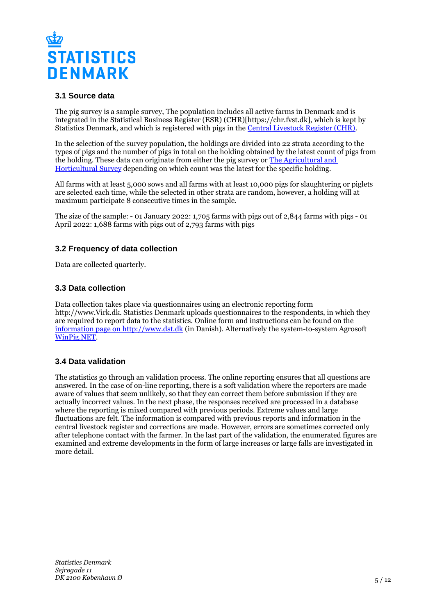

## **3.1 Source data**

The pig survey is a sample survey, The population includes all active farms in Denmark and is integrated in the Statistical Business Register (ESR) (CHR)[https://chr.fvst.dk], which is kept by Statistics Denmark, and which is registered with pigs in the [Central Livestock Register \(CHR\)](https://www.foedevarestyrelsen.dk/english/Animal/AnimalHealth/Central_Husbandry_Register/Pages/default.aspx).

In the selection of the survey population, the holdings are divided into 22 strata according to the types of pigs and the number of pigs in total on the holding obtained by the latest count of pigs from the holding. These data can originate from either the pig survey or [The Agricultural and](https://www.dst.dk/en/Statistik/dokumentation/documentationofstatistics/agricultural-and-horticultural-survey)  [Horticultural Survey](https://www.dst.dk/en/Statistik/dokumentation/documentationofstatistics/agricultural-and-horticultural-survey) depending on which count was the latest for the specific holding.

All farms with at least 5,000 sows and all farms with at least 10,000 pigs for slaughtering or piglets are selected each time, while the selected in other strata are random, however, a holding will at maximum participate 8 consecutive times in the sample.

The size of the sample: - 01 January 2022: 1,705 farms with pigs out of 2,844 farms with pigs - 01 April 2022: 1,688 farms with pigs out of 2,793 farms with pigs

# **3.2 Frequency of data collection**

Data are collected quarterly.

#### **3.3 Data collection**

Data collection takes place via questionnaires using an electronic reporting form http://www.Virk.dk. Statistics Denmark uploads questionnaires to the respondents, in which they are required to report data to the statistics. Online form and instructions can be found on the [information page on http://www.dst.dk](https://www.dst.dk/da/Indberet/oplysningssider/svinebestanden) (in Danish). Alternatively the system-to-system Agrosoft [WinPig.NET](https://agrosoft.eu/uk/products/winpig-net-2/).

### **3.4 Data validation**

The statistics go through an validation process. The online reporting ensures that all questions are answered. In the case of on-line reporting, there is a soft validation where the reporters are made aware of values that seem unlikely, so that they can correct them before submission if they are actually incorrect values. In the next phase, the responses received are processed in a database where the reporting is mixed compared with previous periods. Extreme values and large fluctuations are felt. The information is compared with previous reports and information in the central livestock register and corrections are made. However, errors are sometimes corrected only after telephone contact with the farmer. In the last part of the validation, the enumerated figures are examined and extreme developments in the form of large increases or large falls are investigated in more detail.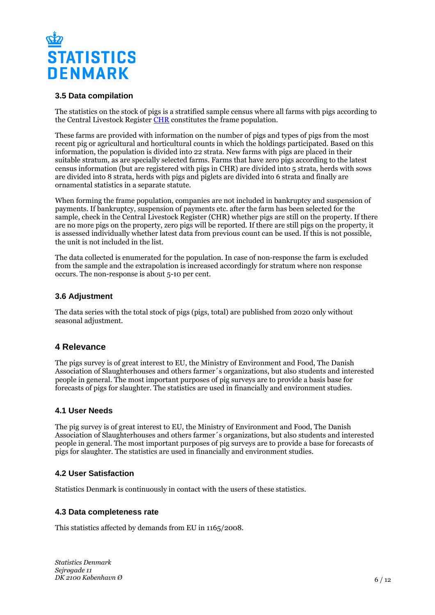

#### **3.5 Data compilation**

The statistics on the stock of pigs is a stratified sample census where all farms with pigs according to the Central Livestock Register [CHR](https://chr.fvst.dk/) constitutes the frame population.

These farms are provided with information on the number of pigs and types of pigs from the most recent pig or agricultural and horticultural counts in which the holdings participated. Based on this information, the population is divided into 22 strata. New farms with pigs are placed in their suitable stratum, as are specially selected farms. Farms that have zero pigs according to the latest census information (but are registered with pigs in CHR) are divided into 5 strata, herds with sows are divided into 8 strata, herds with pigs and piglets are divided into 6 strata and finally are ornamental statistics in a separate statute.

When forming the frame population, companies are not included in bankruptcy and suspension of payments. If bankruptcy, suspension of payments etc. after the farm has been selected for the sample, check in the Central Livestock Register (CHR) whether pigs are still on the property. If there are no more pigs on the property, zero pigs will be reported. If there are still pigs on the property, it is assessed individually whether latest data from previous count can be used. If this is not possible, the unit is not included in the list.

The data collected is enumerated for the population. In case of non-response the farm is excluded from the sample and the extrapolation is increased accordingly for stratum where non response occurs. The non-response is about 5-10 per cent.

#### **3.6 Adjustment**

The data series with the total stock of pigs (pigs, total) are published from 2020 only without seasonal adjustment.

### **4 Relevance**

The pigs survey is of great interest to EU, the Ministry of Environment and Food, The Danish Association of Slaughterhouses and others farmer´s organizations, but also students and interested people in general. The most important purposes of pig surveys are to provide a basis base for forecasts of pigs for slaughter. The statistics are used in financially and environment studies.

#### **4.1 User Needs**

The pig survey is of great interest to EU, the Ministry of Environment and Food, The Danish Association of Slaughterhouses and others farmer´s organizations, but also students and interested people in general. The most important purposes of pig surveys are to provide a base for forecasts of pigs for slaughter. The statistics are used in financially and environment studies.

### **4.2 User Satisfaction**

Statistics Denmark is continuously in contact with the users of these statistics.

#### **4.3 Data completeness rate**

This statistics affected by demands from EU in 1165/2008.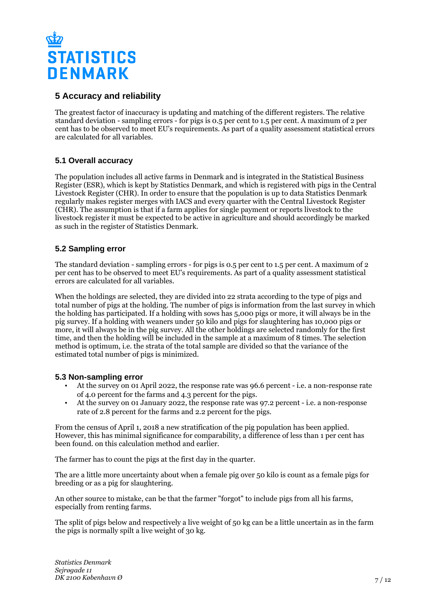

# **5 Accuracy and reliability**

The greatest factor of inaccuracy is updating and matching of the different registers. The relative standard deviation - sampling errors - for pigs is 0.5 per cent to 1.5 per cent. A maximum of 2 per cent has to be observed to meet EU's requirements. As part of a quality assessment statistical errors are calculated for all variables.

# **5.1 Overall accuracy**

The population includes all active farms in Denmark and is integrated in the Statistical Business Register (ESR), which is kept by Statistics Denmark, and which is registered with pigs in the Central Livestock Register (CHR). In order to ensure that the population is up to data Statistics Denmark regularly makes register merges with IACS and every quarter with the Central Livestock Register (CHR). The assumption is that if a farm applies for single payment or reports livestock to the livestock register it must be expected to be active in agriculture and should accordingly be marked as such in the register of Statistics Denmark.

# **5.2 Sampling error**

The standard deviation - sampling errors - for pigs is 0.5 per cent to 1.5 per cent. A maximum of 2 per cent has to be observed to meet EU's requirements. As part of a quality assessment statistical errors are calculated for all variables.

When the holdings are selected, they are divided into 22 strata according to the type of pigs and total number of pigs at the holding. The number of pigs is information from the last survey in which the holding has participated. If a holding with sows has 5,000 pigs or more, it will always be in the pig survey. If a holding with weaners under 50 kilo and pigs for slaughtering has 10,000 pigs or more, it will always be in the pig survey. All the other holdings are selected randomly for the first time, and then the holding will be included in the sample at a maximum of 8 times. The selection method is optimum, i.e. the strata of the total sample are divided so that the variance of the estimated total number of pigs is minimized.

### **5.3 Non-sampling error**

- At the survey on 01 April 2022, the response rate was 96.6 percent i.e. a non-response rate of 4.0 percent for the farms and 4.3 percent for the pigs.
- At the survey on 01 January 2022, the response rate was 97.2 percent i.e. a non-response rate of 2.8 percent for the farms and 2.2 percent for the pigs.

From the census of April 1, 2018 a new stratification of the pig population has been applied. However, this has minimal significance for comparability, a difference of less than 1 per cent has been found. on this calculation method and earlier.

The farmer has to count the pigs at the first day in the quarter.

The are a little more uncertainty about when a female pig over 50 kilo is count as a female pigs for breeding or as a pig for slaughtering.

An other source to mistake, can be that the farmer "forgot" to include pigs from all his farms, especially from renting farms.

The split of pigs below and respectively a live weight of 50 kg can be a little uncertain as in the farm the pigs is normally spilt a live weight of 30 kg.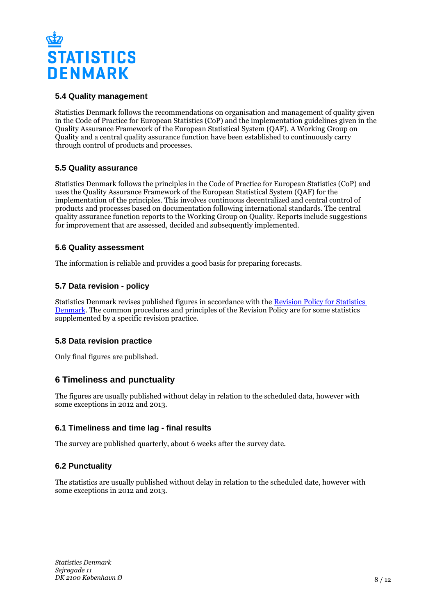

## **5.4 Quality management**

Statistics Denmark follows the recommendations on organisation and management of quality given in the Code of Practice for European Statistics (CoP) and the implementation guidelines given in the Quality Assurance Framework of the European Statistical System (QAF). A Working Group on Quality and a central quality assurance function have been established to continuously carry through control of products and processes.

# **5.5 Quality assurance**

Statistics Denmark follows the principles in the Code of Practice for European Statistics (CoP) and uses the Quality Assurance Framework of the European Statistical System (QAF) for the implementation of the principles. This involves continuous decentralized and central control of products and processes based on documentation following international standards. The central quality assurance function reports to the Working Group on Quality. Reports include suggestions for improvement that are assessed, decided and subsequently implemented.

### **5.6 Quality assessment**

The information is reliable and provides a good basis for preparing forecasts.

### **5.7 Data revision - policy**

Statistics Denmark revises published figures in accordance with the [Revision Policy for Statistics](https://www.dst.dk/en/OmDS/strategi-og-kvalitet/revisionspolitik.aspx)  [Denmark.](https://www.dst.dk/en/OmDS/strategi-og-kvalitet/revisionspolitik.aspx) The common procedures and principles of the Revision Policy are for some statistics supplemented by a specific revision practice.

### **5.8 Data revision practice**

Only final figures are published.

### **6 Timeliness and punctuality**

The figures are usually published without delay in relation to the scheduled data, however with some exceptions in 2012 and 2013.

### **6.1 Timeliness and time lag - final results**

The survey are published quarterly, about 6 weeks after the survey date.

### **6.2 Punctuality**

The statistics are usually published without delay in relation to the scheduled date, however with some exceptions in 2012 and 2013.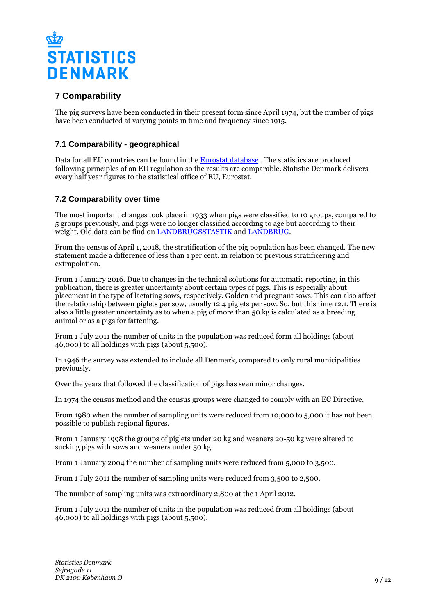

# **7 Comparability**

The pig surveys have been conducted in their present form since April 1974, but the number of pigs have been conducted at varying points in time and frequency since 1915.

# **7.1 Comparability - geographical**

Data for all EU countries can be found in the [Eurostat database](https://ec.europa.eu/eurostat/data/database) . The statistics are produced following principles of an EU regulation so the results are comparable. Statistic Denmark delivers every half year figures to the statistical office of EU, Eurostat.

# **7.2 Comparability over time**

The most important changes took place in 1933 when pigs were classified to 10 groups, compared to 5 groups previously, and pigs were no longer classified according to age but according to their weight. Old data can be find on [LANDBRUGSSTASTIK](https://www.dst.dk/da/Statistik/Publikationer/VisPub?cid=19733) and [LANDBRUG.](https://www.dst.dk/da/Statistik/Publikationer/VisPub?cid=16604)

From the census of April 1, 2018, the stratification of the pig population has been changed. The new statement made a difference of less than 1 per cent. in relation to previous stratificering and extrapolation.

From 1 January 2016. Due to changes in the technical solutions for automatic reporting, in this publication, there is greater uncertainty about certain types of pigs. This is especially about placement in the type of lactating sows, respectively. Golden and pregnant sows. This can also affect the relationship between piglets per sow, usually 12.4 piglets per sow. So, but this time 12.1. There is also a little greater uncertainty as to when a pig of more than 50 kg is calculated as a breeding animal or as a pigs for fattening.

From 1 July 2011 the number of units in the population was reduced form all holdings (about 46,000) to all holdings with pigs (about 5,500).

In 1946 the survey was extended to include all Denmark, compared to only rural municipalities previously.

Over the years that followed the classification of pigs has seen minor changes.

In 1974 the census method and the census groups were changed to comply with an EC Directive.

From 1980 when the number of sampling units were reduced from 10,000 to 5,000 it has not been possible to publish regional figures.

From 1 January 1998 the groups of piglets under 20 kg and weaners 20-50 kg were altered to sucking pigs with sows and weaners under 50 kg.

From 1 January 2004 the number of sampling units were reduced from 5,000 to 3,500.

From 1 July 2011 the number of sampling units were reduced from 3,500 to 2,500.

The number of sampling units was extraordinary 2,800 at the 1 April 2012.

From 1 July 2011 the number of units in the population was reduced from all holdings (about 46,000) to all holdings with pigs (about 5,500).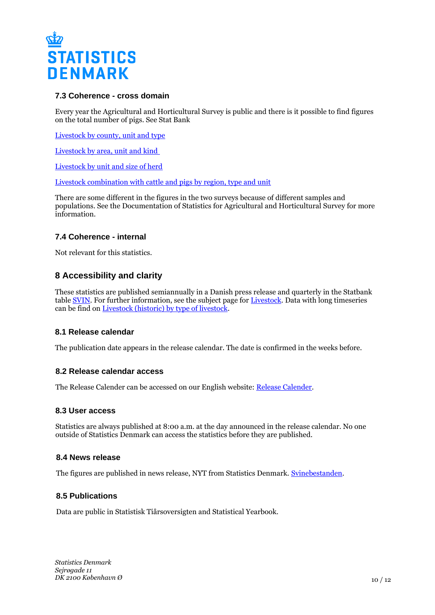

#### **7.3 Coherence - cross domain**

Every year the Agricultural and Horticultural Survey is public and there is it possible to find figures on the total number of pigs. See Stat Bank

[Livestock by county, unit and type](http://www.statbank.dk/HDYR07)

[Livestock by area, unit and kind](http://www.statbank.dk/HDYR1) 

[Livestock by unit and size of herd](http://www.statbank.dk/HDYR2)

[Livestock combination with cattle and pigs by region, type and unit](http://www.statbank.dk/KOMB07)

There are some different in the figures in the two surveys because of different samples and populations. See the Documentation of Statistics for Agricultural and Horticultural Survey for more information.

### **7.4 Coherence - internal**

Not relevant for this statistics.

# **8 Accessibility and clarity**

These statistics are published semiannually in a Danish press release and quarterly in the Statbank table [SVIN](http://www.statbank.dk/SVIN). For further information, see the subject page for [Livestock](https://www.dst.dk/en/Statistik/emner/erhvervslivets-sektorer/landbrug-gartneri-og-skovbrug/husdyr). Data with long timeseries can be find on [Livestock \(historic\) by type of livestock.](http://www.statbank.dk/HDYR1920)

#### **8.1 Release calendar**

The publication date appears in the release calendar. The date is confirmed in the weeks before.

#### **8.2 Release calendar access**

The Release Calender can be accessed on our English website: [Release Calender.](https://www.dst.dk/en/Statistik/offentliggoerelser.aspx)

#### **8.3 User access**

Statistics are always published at 8:00 a.m. at the day announced in the release calendar. No one outside of Statistics Denmark can access the statistics before they are published.

#### **8.4 News release**

The figures are published in news release, NYT from Statistics Denmark. [Svinebestanden.](https://www.dst.dk/da/statistik/nyt/NytHtml?cid=18550)

#### **8.5 Publications**

Data are public in Statistisk Tiårsoversigten and Statistical Yearbook.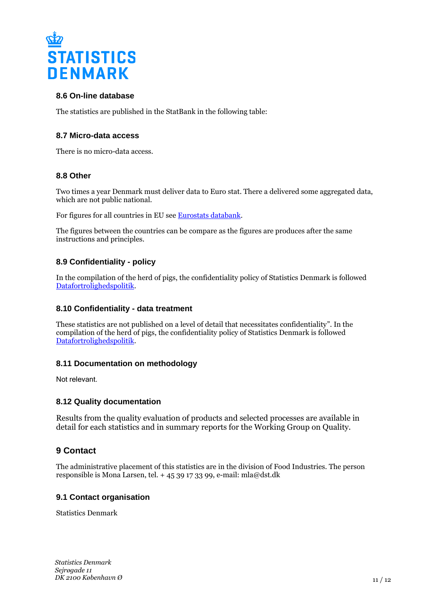

### **8.6 On-line database**

The statistics are published in the StatBank in the following table:

#### **8.7 Micro-data access**

There is no micro-data access.

#### **8.8 Other**

Two times a year Denmark must deliver data to Euro stat. There a delivered some aggregated data, which are not public national.

For figures for all countries in EU see [Eurostats databank.](https://ec.europa.eu/eurostat/data/database)

The figures between the countries can be compare as the figures are produces after the same instructions and principles.

#### **8.9 Confidentiality - policy**

In the compilation of the herd of pigs, the confidentiality policy of Statistics Denmark is followed [Datafortrolighedspolitik.](https://www.dst.dk/ext/formid/datafortrolighed)

#### **8.10 Confidentiality - data treatment**

These statistics are not published on a level of detail that necessitates confidentiality". In the compilation of the herd of pigs, the confidentiality policy of Statistics Denmark is followed [Datafortrolighedspolitik.](https://www.dst.dk/ext/formid/datafortrolighed)

#### **8.11 Documentation on methodology**

Not relevant.

### **8.12 Quality documentation**

Results from the quality evaluation of products and selected processes are available in detail for each statistics and in summary reports for the Working Group on Quality.

### **9 Contact**

The administrative placement of this statistics are in the division of Food Industries. The person responsible is Mona Larsen, tel. + 45 39 17 33 99, e-mail: mla@dst.dk

#### **9.1 Contact organisation**

Statistics Denmark